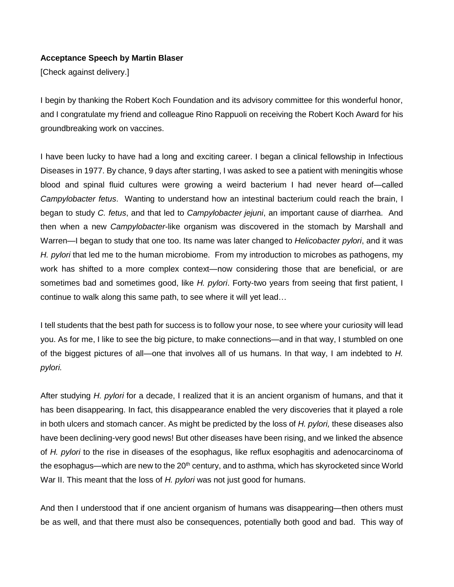## **Acceptance Speech by Martin Blaser**

[Check against delivery.]

I begin by thanking the Robert Koch Foundation and its advisory committee for this wonderful honor, and I congratulate my friend and colleague Rino Rappuoli on receiving the Robert Koch Award for his groundbreaking work on vaccines.

I have been lucky to have had a long and exciting career. I began a clinical fellowship in Infectious Diseases in 1977. By chance, 9 days after starting, I was asked to see a patient with meningitis whose blood and spinal fluid cultures were growing a weird bacterium I had never heard of—called *Campylobacter fetus*. Wanting to understand how an intestinal bacterium could reach the brain, I began to study *C. fetus*, and that led to *Campylobacter jejuni*, an important cause of diarrhea. And then when a new *Campylobacter*-like organism was discovered in the stomach by Marshall and Warren—I began to study that one too. Its name was later changed to *Helicobacter pylori*, and it was *H. pylori* that led me to the human microbiome. From my introduction to microbes as pathogens, my work has shifted to a more complex context—now considering those that are beneficial, or are sometimes bad and sometimes good, like *H. pylori*. Forty-two years from seeing that first patient, I continue to walk along this same path, to see where it will yet lead…

I tell students that the best path for success is to follow your nose, to see where your curiosity will lead you. As for me, I like to see the big picture, to make connections—and in that way, I stumbled on one of the biggest pictures of all—one that involves all of us humans. In that way, I am indebted to *H. pylori.*

After studying *H. pylori* for a decade, I realized that it is an ancient organism of humans, and that it has been disappearing. In fact, this disappearance enabled the very discoveries that it played a role in both ulcers and stomach cancer. As might be predicted by the loss of *H. pylori,* these diseases also have been declining-very good news! But other diseases have been rising, and we linked the absence of *H. pylori* to the rise in diseases of the esophagus, like reflux esophagitis and adenocarcinoma of the esophagus—which are new to the 20<sup>th</sup> century, and to asthma, which has skyrocketed since World War II. This meant that the loss of *H. pylori* was not just good for humans.

And then I understood that if one ancient organism of humans was disappearing—then others must be as well, and that there must also be consequences, potentially both good and bad. This way of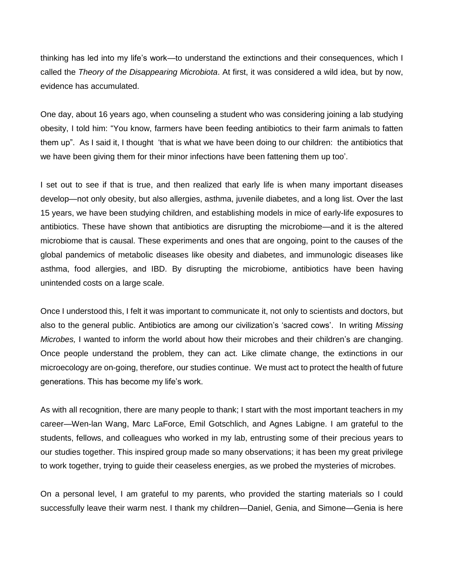thinking has led into my life's work—to understand the extinctions and their consequences, which I called the *Theory of the Disappearing Microbiota*. At first, it was considered a wild idea, but by now, evidence has accumulated.

One day, about 16 years ago, when counseling a student who was considering joining a lab studying obesity, I told him: "You know, farmers have been feeding antibiotics to their farm animals to fatten them up". As I said it, I thought 'that is what we have been doing to our children: the antibiotics that we have been giving them for their minor infections have been fattening them up too'.

I set out to see if that is true, and then realized that early life is when many important diseases develop—not only obesity, but also allergies, asthma, juvenile diabetes, and a long list. Over the last 15 years, we have been studying children, and establishing models in mice of early-life exposures to antibiotics. These have shown that antibiotics are disrupting the microbiome—and it is the altered microbiome that is causal. These experiments and ones that are ongoing, point to the causes of the global pandemics of metabolic diseases like obesity and diabetes, and immunologic diseases like asthma, food allergies, and IBD. By disrupting the microbiome, antibiotics have been having unintended costs on a large scale.

Once I understood this, I felt it was important to communicate it, not only to scientists and doctors, but also to the general public. Antibiotics are among our civilization's 'sacred cows'. In writing *Missing Microbes,* I wanted to inform the world about how their microbes and their children's are changing. Once people understand the problem, they can act. Like climate change, the extinctions in our microecology are on-going, therefore, our studies continue. We must act to protect the health of future generations. This has become my life's work.

As with all recognition, there are many people to thank; I start with the most important teachers in my career—Wen-lan Wang, Marc LaForce, Emil Gotschlich, and Agnes Labigne. I am grateful to the students, fellows, and colleagues who worked in my lab, entrusting some of their precious years to our studies together. This inspired group made so many observations; it has been my great privilege to work together, trying to guide their ceaseless energies, as we probed the mysteries of microbes.

On a personal level, I am grateful to my parents, who provided the starting materials so I could successfully leave their warm nest. I thank my children—Daniel, Genia, and Simone—Genia is here